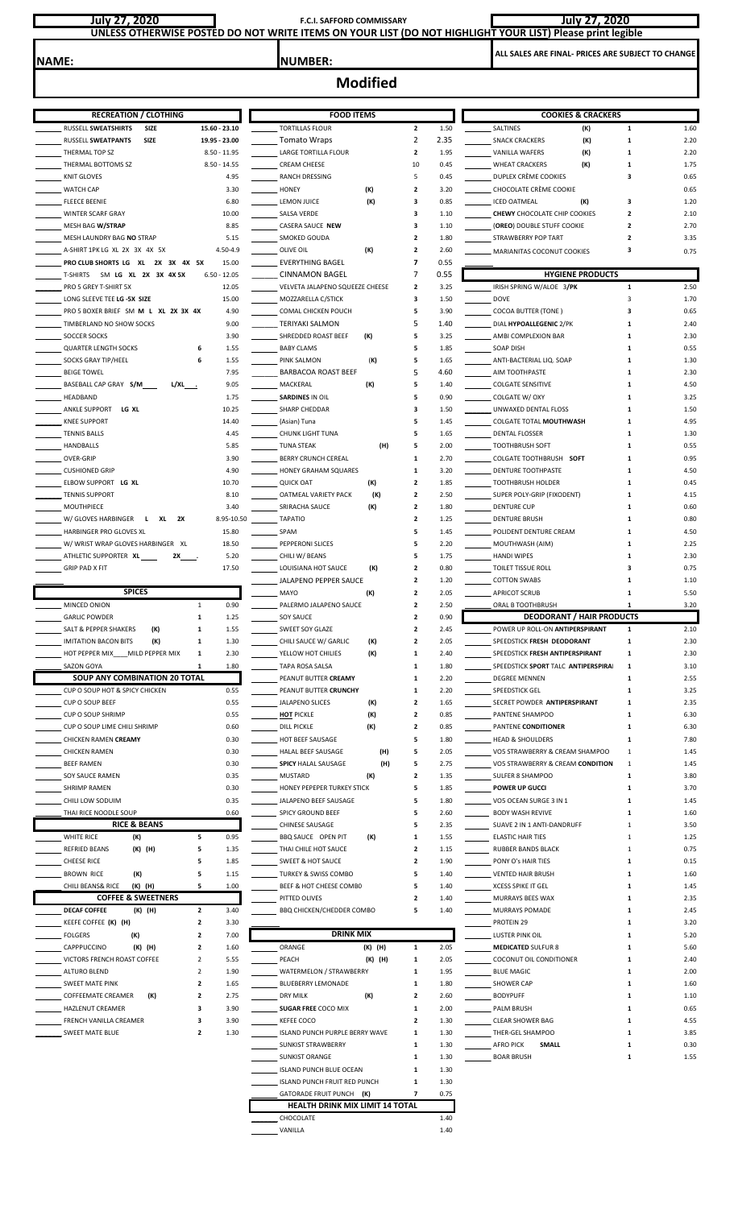| July 27, 2020                                                           | UNLESS OTHERWISE POSTED DO NOT WRITE ITEMS ON YOUR LIST (DO NOT HIGHLIGHT YOUR LIST) Please print legible | <b>July 27, 2020</b>                                |                                            |                                                   |                                                       |              |              |
|-------------------------------------------------------------------------|-----------------------------------------------------------------------------------------------------------|-----------------------------------------------------|--------------------------------------------|---------------------------------------------------|-------------------------------------------------------|--------------|--------------|
| <b>NAME:</b>                                                            |                                                                                                           | <b>NUMBER:</b>                                      |                                            | ALL SALES ARE FINAL- PRICES ARE SUBJECT TO CHANGE |                                                       |              |              |
|                                                                         |                                                                                                           | <b>Modified</b>                                     |                                            |                                                   |                                                       |              |              |
| <b>RECREATION / CLOTHING</b>                                            |                                                                                                           | <b>FOOD ITEMS</b>                                   |                                            |                                                   | <b>COOKIES &amp; CRACKERS</b>                         |              |              |
| RUSSELL SWEATSHIRTS<br>SIZE                                             | 15.60 - 23.10                                                                                             | <b>TORTILLAS FLOUR</b>                              | $\overline{2}$                             | 1.50                                              | SALTINES<br>(K)                                       | $\mathbf{1}$ | 1.60         |
| RUSSELL SWEATPANTS<br>SIZE                                              | 19.95 - 23.00                                                                                             | <b>Tomato Wraps</b>                                 | 2                                          | 2.35                                              | (K)<br><b>SNACK CRACKERS</b>                          | $\mathbf{1}$ | 2.20         |
| THERMAL TOP SZ                                                          | $8.50 - 11.95$                                                                                            | LARGE TORTILLA FLOUR                                | $\overline{2}$                             | 1.95                                              | VANILLA WAFERS<br>(K)                                 | 1            | 2.20         |
| THERMAL BOTTOMS SZ                                                      | $8.50 - 14.55$                                                                                            | <b>CREAM CHEESE</b>                                 | 10                                         | 0.45                                              | <b>WHEAT CRACKERS</b><br>(K)                          | 1            | 1.75         |
| <b>KNIT GLOVES</b>                                                      | 4.95                                                                                                      | RANCH DRESSING                                      | 5                                          | 0.45                                              | DUPLEX CRÈME COOKIES                                  | 3            | 0.65         |
| <b>WATCH CAP</b><br><b>FLEECE BEENIE</b>                                | 3.30<br>6.80                                                                                              | (K)<br><b>HONEY</b><br>(K)<br><b>LEMON JUICE</b>    | $\overline{2}$<br>3                        | 3.20<br>0.85                                      | CHOCOLATE CRÈME COOKIE<br><b>ICED OATMEAL</b><br>(K)  | 3            | 0.65<br>1.20 |
| <b>WINTER SCARF GRAY</b>                                                | 10.00                                                                                                     | SALSA VERDE                                         | 3                                          | 1.10                                              | <b>CHEWY CHOCOLATE CHIP COOKIES</b>                   | $\mathbf{2}$ | 2.10         |
| MESH BAG W/STRAP                                                        | 8.85                                                                                                      | CASERA SAUCE NEW                                    | з                                          | 1.10                                              | (OREO) DOUBLE STUFF COOKIE                            | 2            | 2.70         |
| MESH LAUNDRY BAG NO STRAP                                               | 5.15                                                                                                      | SMOKED GOUDA                                        | $\overline{2}$                             | 1.80                                              | STRAWBERRY POP TART                                   | 2            | 3.35         |
| A-SHIRT 1PK LG XL 2X 3X 4X 5X                                           | 4.50-4.9                                                                                                  | (K)<br>OLIVE OIL                                    | $\overline{2}$                             | 2.60                                              | MARIANITAS COCONUT COOKIES                            | з            | 0.75         |
| PRO CLUB SHORTS LG XL 2X 3X 4X 5X<br>T-SHIRTS SM LG XL 2X 3X 4X 5X      | 15.00<br>$6.50 - 12.05$                                                                                   | <b>EVERYTHING BAGEL</b><br><b>CINNAMON BAGEL</b>    | $\overline{\phantom{a}}$<br>$\overline{7}$ | 0.55<br>0.55                                      | <b>HYGIENE PRODUCTS</b>                               |              |              |
| PRO 5 GREY T-SHIRT 5X                                                   | 12.05                                                                                                     | VELVETA JALAPENO SQUEEZE CHEESE                     | $\overline{\mathbf{2}}$                    | 3.25                                              | IRISH SPRING W/ALOE 3/PK                              | 1            | 2.50         |
| LONG SLEEVE TEE LG -5X SIZE                                             | 15.00                                                                                                     | MOZZARELLA C/STICK                                  | 3                                          | 1.50                                              | <b>DOVE</b>                                           | 3            | 1.70         |
| PRO 5 BOXER BRIEF SM M L XL 2X 3X 4X                                    | 4.90                                                                                                      | COMAL CHICKEN POUCH                                 | 5                                          | 3.90                                              | <b>COCOA BUTTER (TONE)</b>                            | 3            | 0.65         |
| TIMBERLAND NO SHOW SOCKS                                                | 9.00                                                                                                      | <b>TERIYAKI SALMON</b>                              | 5                                          | 1.40                                              | DIAL HYPOALLEGENIC 2/PK                               | 1            | 2.40         |
| <b>SOCCER SOCKS</b>                                                     | 3.90                                                                                                      | SHREDDED ROAST BEEF<br>(K)                          | 5                                          | 3.25                                              | AMBI COMPLEXION BAR                                   | 1            | 2.30         |
| <b>QUARTER LENGTH SOCKS</b><br>SOCKS GRAY TIP/HEEL                      | 1.55<br>6<br>6<br>1.55                                                                                    | <b>BABY CLAMS</b><br>(K)<br>PINK SALMON             | 5<br>5                                     | 1.85<br>1.65                                      | SOAP DISH<br>ANTI-BACTERIAL LIQ. SOAP                 | 1<br>1       | 0.55<br>1.30 |
| <b>BEIGE TOWEL</b>                                                      | 7.95                                                                                                      | BARBACOA ROAST BEEF                                 | 5                                          | 4.60                                              | AIM TOOTHPASTE                                        | 1            | 2.30         |
| BASEBALL CAP GRAY S/M<br>L/XL_____                                      | 9.05                                                                                                      | MACKERAL<br>(K)                                     | 5                                          | 1.40                                              | <b>COLGATE SENSITIVE</b>                              | 1            | 4.50         |
| HEADBAND                                                                | 1.75                                                                                                      | <b>SARDINES IN OIL</b>                              | 5                                          | 0.90                                              | COLGATE W/ OXY                                        | 1            | 3.25         |
| ANKLE SUPPORT<br>LG XL                                                  | 10.25                                                                                                     | SHARP CHEDDAR                                       | з                                          | 1.50                                              | UNWAXED DENTAL FLOSS                                  | 1            | 1.50         |
| <b>KNEE SUPPORT</b>                                                     | 14.40                                                                                                     | (Asian) Tuna                                        | 5                                          | 1.45                                              | COLGATE TOTAL MOUTHWASH                               | 1            | 4.95         |
| <b>TENNIS BALLS</b>                                                     | 4.45                                                                                                      | <b>CHUNK LIGHT TUNA</b>                             | 5                                          | 1.65                                              | DENTAL FLOSSER                                        | 1            | 1.30         |
| HANDBALLS<br>OVER-GRIP                                                  | 5.85<br>3.90                                                                                              | <b>TUNA STEAK</b><br>(H)<br>BERRY CRUNCH CEREAL     | 5<br>1                                     | 2.00<br>2.70                                      | <b>TOOTHBRUSH SOFT</b><br>COLGATE TOOTHBRUSH SOFT     | 1<br>1       | 0.55<br>0.95 |
| <b>CUSHIONED GRIP</b>                                                   | 4.90                                                                                                      | HONEY GRAHAM SQUARES                                | 1                                          | 3.20                                              | DENTURE TOOTHPASTE                                    | 1            | 4.50         |
| ELBOW SUPPORT LG XL                                                     | 10.70                                                                                                     | <b>QUICK OAT</b><br>(K)                             | $\overline{2}$                             | 1.85                                              | <b>TOOTHBRUSH HOLDER</b>                              | 1            | 0.45         |
| <b>TENNIS SUPPORT</b>                                                   | 8.10                                                                                                      | OATMEAL VARIETY PACK<br>(K)                         | $\overline{2}$                             | 2.50                                              | SUPER POLY-GRIP (FIXODENT)                            | 1            | 4.15         |
| MOUTHPIECE                                                              | 3.40                                                                                                      | (K)<br>SRIRACHA SAUCE                               | $\overline{\mathbf{2}}$                    | 1.80                                              | <b>DENTURE CUP</b>                                    | 1            | 0.60         |
| W/ GLOVES HARBINGER<br>XL<br>2X<br>L.<br><b>HARBINGER PRO GLOVES XL</b> | 8.95-10.50                                                                                                | <b>TAPATIO</b>                                      | $\overline{\mathbf{2}}$                    | 1.25                                              | <b>DENTURE BRUSH</b>                                  | 1            | 0.80         |
| W/WRIST WRAP GLOVES HARBINGER XL                                        | 15.80<br>18.50                                                                                            | SPAM<br>PEPPERONI SLICES                            | 5<br>5                                     | 1.45<br>2.20                                      | POLIDENT DENTURE CREAM<br>MOUTHWASH (AIM)             | 1<br>1       | 4.50<br>2.25 |
| ATHLETIC SUPPORTER XL<br>2X                                             | 5.20                                                                                                      | CHILI W/ BEANS                                      | 5                                          | 1.75                                              | <b>HANDI WIPES</b>                                    | 1            | 2.30         |
| <b>GRIP PAD X FIT</b>                                                   | 17.50                                                                                                     | LOUISIANA HOT SAUCE<br>(K)                          | $\overline{\mathbf{2}}$                    | 0.80                                              | TOILET TISSUE ROLL                                    | 3            | 0.75         |
|                                                                         |                                                                                                           | JALAPENO PEPPER SAUCE                               | $\overline{2}$                             | 1.20                                              | <b>COTTON SWABS</b>                                   | 1            | 1.10         |
| <b>SPICES</b>                                                           |                                                                                                           | (K)<br>MAYO                                         | $\overline{2}$                             | 2.05                                              | <b>APRICOT SCRUB</b>                                  | 1            | 5.50         |
| MINCED ONION<br><b>GARLIC POWDER</b>                                    | 0.90<br>1<br>1.25<br>1                                                                                    | PALERMO JALAPENO SAUCE<br>SOY SAUCE                 | $\overline{2}$<br>$\overline{2}$           | 2.50<br>0.90                                      | ORAL B TOOTHBRUSH<br><b>DEODORANT / HAIR PRODUCTS</b> | 1            | 3.20         |
| SALT & PEPPER SHAKERS<br>(K)                                            | 1.55<br>1                                                                                                 | SWEET SOY GLAZE                                     | $\overline{2}$                             | 2.45                                              | POWER UP ROLL-ON ANTIPERSPIRANT                       | $\mathbf{1}$ | 2.10         |
| (K)<br><b>IMITATION BACON BITS</b>                                      | 1<br>1.30                                                                                                 | CHILI SAUCE W/ GARLIC<br>(K)                        | $\overline{2}$                             | 2.05                                              | SPEEDSTICK FRESH DEODORANT                            | 1            | 2.30         |
| HOT PEPPER MIX MILD PEPPER MIX                                          | 1<br>2.30                                                                                                 | (K)<br>YELLOW HOT CHILIES                           | 1                                          | 2.40                                              | SPEEDSTICK FRESH ANTIPERSPIRANT                       | 1            | 2.30         |
| <b>SAZON GOYA</b>                                                       | 1.80<br>1                                                                                                 | TAPA ROSA SALSA                                     | 1                                          | 1.80                                              | SPEEDSTICK SPORT TALC ANTIPERSPIRAL                   | 1            | 3.10         |
| SOUP ANY COMBINATION 20 TOTAL                                           |                                                                                                           | PEANUT BUTTER CREAMY                                | 1                                          | 2.20                                              | DEGREE MENNEN                                         | 1            | 2.55         |
| CUP O SOUP HOT & SPICY CHICKEN<br>CUP O SOUP BEEF                       | 0.55<br>0.55                                                                                              | PEANUT BUTTER CRUNCHY<br>JALAPENO SLICES            | 1<br>$\overline{2}$                        | 2.20<br>1.65                                      | SPEEDSTICK GEL<br>SECRET POWDER ANTIPERSPIRANT        | 1<br>1       | 3.25<br>2.35 |
| <b>CUP O SOUP SHRIMP</b>                                                | 0.55                                                                                                      | (K)<br><b>HOT PICKLE</b><br>(K)                     | $\overline{2}$                             | 0.85                                              | PANTENE SHAMPOO                                       | 1            | 6.30         |
| CUP O SOUP LIME CHILI SHRIMP                                            | 0.60                                                                                                      | <b>DILL PICKLE</b><br>(K)                           | $\overline{2}$                             | 0.85                                              | PANTENE CONDITIONER                                   | 1            | 6.30         |
| CHICKEN RAMEN CREAMY                                                    | 0.30                                                                                                      | HOT BEEF SAUSAGE                                    | 5                                          | 1.80                                              | <b>HEAD &amp; SHOULDERS</b>                           | 1            | 7.80         |
| <b>CHICKEN RAMEN</b>                                                    | 0.30                                                                                                      | HALAL BEEF SAUSAGE<br>(H)                           | 5                                          | 2.05                                              | VO5 STRAWBERRY & CREAM SHAMPOO                        | 1            | 1.45         |
| <b>BEEF RAMEN</b>                                                       | 0.30                                                                                                      | <b>SPICY HALAL SAUSAGE</b><br>(H)                   | 5                                          | 2.75                                              | VO5 STRAWBERRY & CREAM CONDITION                      | 1            | 1.45         |
| SOY SAUCE RAMEN                                                         | 0.35                                                                                                      | <b>MUSTARD</b><br>(K)                               | $\overline{2}$                             | 1.35                                              | SULFER 8 SHAMPOO                                      | 1            | 3.80         |
| <b>SHRIMP RAMEN</b><br>CHILI LOW SODUIM                                 | 0.30<br>0.35                                                                                              | HONEY PEPEPER TURKEY STICK<br>JALAPENO BEEF SAUSAGE | 5<br>5                                     | 1.85<br>1.80                                      | <b>POWER UP GUCCI</b><br>VO5 OCEAN SURGE 3 IN 1       | 1<br>1       | 3.70<br>1.45 |
| THAI RICE NOODLE SOUP                                                   | 0.60                                                                                                      | <b>SPICY GROUND BEEF</b>                            | 5                                          | 2.60                                              | <b>BODY WASH REVIVE</b>                               | 1            | 1.60         |
| <b>RICE &amp; BEANS</b>                                                 |                                                                                                           | CHINESE SAUSAGE                                     | 5                                          | 2.35                                              | SUAVE 2 IN 1 ANTI-DANDRUFF                            | 1            | 3.50         |
| WHITE RICE<br>(K)                                                       | 5<br>0.95                                                                                                 | <b>BBQ SAUCE OPEN PIT</b><br>(K)                    | 1                                          | 1.55                                              | <b>ELASTIC HAIR TIES</b>                              | 1            | 1.25         |
| (K) (H)<br><b>REFRIED BEANS</b>                                         | 5<br>1.35                                                                                                 | THAI CHILE HOT SAUCE                                | $\overline{2}$                             | 1.15                                              | <b>RUBBER BANDS BLACK</b>                             | 1            | 0.75         |
| <b>CHEESE RICE</b>                                                      | 5<br>1.85                                                                                                 | <b>SWEET &amp; HOT SAUCE</b>                        | $\overline{2}$                             | 1.90                                              | PONY O's HAIR TIES                                    | 1            | 0.15         |
| <b>BROWN RICE</b><br>(K)<br>(K) (H)<br>CHILI BEANS& RICE                | 5<br>1.15<br>1.00<br>5                                                                                    | TURKEY & SWISS COMBO<br>BEEF & HOT CHEESE COMBO     | 5<br>5                                     | 1.40<br>1.40                                      | <b>VENTED HAIR BRUSH</b><br><b>XCESS SPIKE IT GEL</b> | 1<br>1       | 1.60<br>1.45 |
| <b>COFFEE &amp; SWEETNERS</b>                                           |                                                                                                           | PITTED OLIVES                                       | $\overline{\mathbf{2}}$                    | 1.40                                              | MURRAYS BEES WAX                                      | 1            | 2.35         |
| <b>DECAF COFFEE</b><br>(K) (H)                                          | $\mathbf{2}$<br>3.40                                                                                      | <b>BBQ CHICKEN/CHEDDER COMBO</b>                    | 5                                          | 1.40                                              | <b>MURRAYS POMADE</b>                                 | 1            | 2.45         |
| KEEFE COFFEE (K) (H)                                                    | 2<br>3.30                                                                                                 |                                                     |                                            |                                                   | PROTEIN 29                                            | 1            | 3.20         |
| <b>FOLGERS</b><br>(K)                                                   | $\mathbf{2}$<br>7.00                                                                                      | <b>DRINK MIX</b>                                    |                                            |                                                   | <b>LUSTER PINK OIL</b>                                | 1            | 5.20         |
| CAPPPUCCINO<br>(K) (H)                                                  | 1.60<br>2                                                                                                 | ORANGE<br>(K) (H)                                   | 1                                          | 2.05                                              | <b>MEDICATED SULFUR 8</b>                             | 1            | 5.60         |
| VICTORS FRENCH ROAST COFFEE<br><b>ALTURO BLEND</b>                      | 2<br>5.55<br>2<br>1.90                                                                                    | (K) (H)<br>PEACH<br>WATERMELON / STRAWBERRY         | 1<br>1                                     | 2.05<br>1.95                                      | COCONUT OIL CONDITIONER<br><b>BLUE MAGIC</b>          | 1            | 2.40<br>2.00 |
| <b>SWEET MATE PINK</b>                                                  | 2<br>1.65                                                                                                 | BLUEBERRY LEMONADE                                  | 1                                          | 1.80                                              | SHOWER CAP                                            | 1            | 1.60         |
| <b>COFFEEMATE CREAMER</b><br>(K)                                        | $\overline{\mathbf{2}}$<br>2.75                                                                           | <b>DRY MILK</b><br>(K)                              | $\overline{2}$                             | 2.60                                              | <b>BODYPUFF</b>                                       | 1            | 1.10         |
| <b>HAZLENUT CREAMER</b>                                                 | з<br>3.90                                                                                                 | <b>SUGAR FREE COCO MIX</b>                          | 1                                          | 2.00                                              | <b>PALM BRUSH</b>                                     | 1            | 0.65         |
| FRENCH VANILLA CREAMER                                                  | з<br>3.90                                                                                                 | <b>KEFEE COCO</b>                                   | $\overline{\mathbf{2}}$                    | 1.30                                              | <b>CLEAR SHOWER BAG</b>                               | 1            | 4.55         |
| SWEET MATE BLUE                                                         | 2<br>1.30                                                                                                 | ISLAND PUNCH PURPLE BERRY WAVE                      | 1                                          | 1.30                                              | THER-GEL SHAMPOO                                      | 1            | 3.85         |
|                                                                         |                                                                                                           | <b>SUNKIST STRAWBERRY</b>                           | 1                                          | 1.30                                              | <b>AFRO PICK</b><br><b>SMALL</b>                      | 1            | 0.30         |
|                                                                         |                                                                                                           | <b>SUNKIST ORANGE</b><br>ISLAND PUNCH BLUE OCEAN    | 1<br>1                                     | 1.30<br>1.30                                      | <b>BOAR BRUSH</b>                                     | 1            | 1.55         |
|                                                                         |                                                                                                           | ISLAND PUNCH FRUIT RED PUNCH                        | $\mathbf{1}$                               | 1.30                                              |                                                       |              |              |

 GATORADE FRUIT PUNCH **(K) 7** 0.75 LEALTH DRINK MIX LIMIT 14 TOTAL<br>CHOCOLATE 1.40 \_\_\_\_\_\_\_VANILLA 1.40

**HEALTH DRINK MIX LIMIT 14 TOTAL**